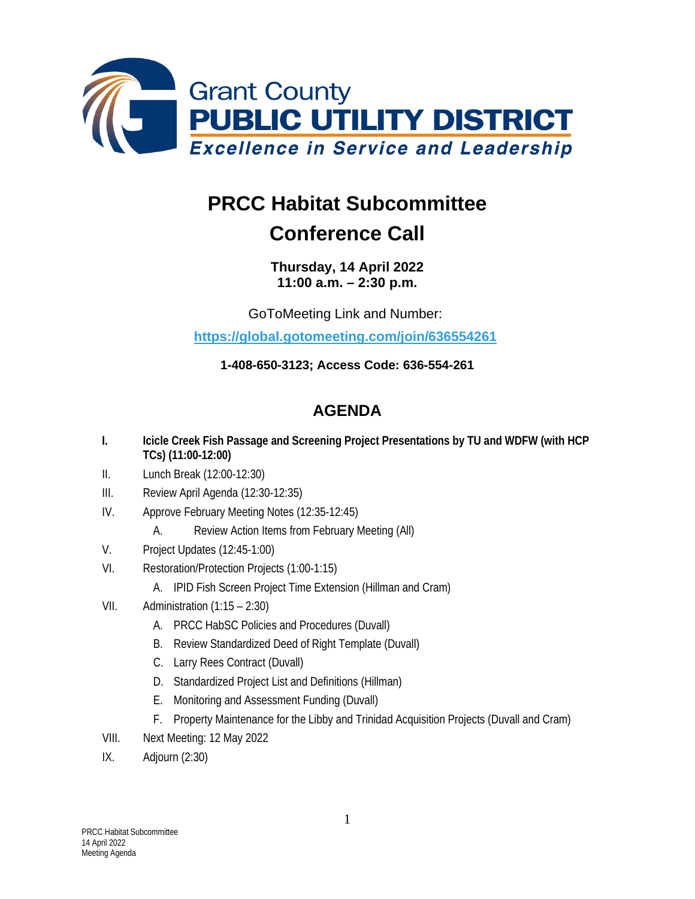

## **PRCC Habitat Subcommittee**

## **Conference Call**

**Thursday, 14 April 2022 11:00 a.m. – 2:30 p.m.**

GoToMeeting Link and Number:

**<https://global.gotomeeting.com/join/636554261>**

**1-408-650-3123; Access Code: 636-554-261**

## **AGENDA**

- **I. Icicle Creek Fish Passage and Screening Project Presentations by TU and WDFW (with HCP TCs) (11:00-12:00)**
- II. Lunch Break (12:00-12:30)
- III. Review April Agenda (12:30-12:35)
- IV. Approve February Meeting Notes (12:35-12:45)
	- A. Review Action Items from February Meeting (All)
- V. Project Updates (12:45-1:00)
- VI. Restoration/Protection Projects (1:00-1:15)
	- A. IPID Fish Screen Project Time Extension (Hillman and Cram)
- VII. Administration (1:15 2:30)
	- A. PRCC HabSC Policies and Procedures (Duvall)
	- B. Review Standardized Deed of Right Template (Duvall)
	- C. Larry Rees Contract (Duvall)
	- D. Standardized Project List and Definitions (Hillman)
	- E. Monitoring and Assessment Funding (Duvall)
	- F. Property Maintenance for the Libby and Trinidad Acquisition Projects (Duvall and Cram)
- VIII. Next Meeting: 12 May 2022
- IX. Adjourn (2:30)